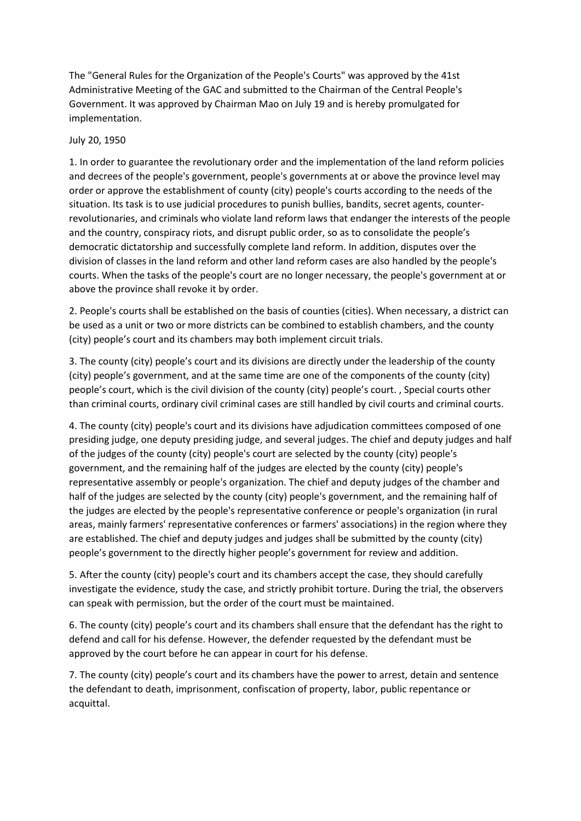The "General Rules for the Organization of the People's Courts" was approved by the 41st Administrative Meeting of the GAC and submitted to the Chairman of the Central People's Government. It was approved by Chairman Mao on July 19 and is hereby promulgated for implementation.

## July 20, 1950

1. In order to guarantee the revolutionary order and the implementation of the land reform policies and decrees of the people's government, people's governments at or above the province level may order or approve the establishment of county (city) people's courts according to the needs of the situation. Its task is to use judicial procedures to punish bullies, bandits, secret agents, counterrevolutionaries, and criminals who violate land reform laws that endanger the interests of the people and the country, conspiracy riots, and disrupt public order, so as to consolidate the people's democratic dictatorship and successfully complete land reform. In addition, disputes over the division of classes in the land reform and other land reform cases are also handled by the people's courts. When the tasks of the people's court are no longer necessary, the people's government at or above the province shall revoke it by order.

2. People's courts shall be established on the basis of counties (cities). When necessary, a district can be used as a unit or two or more districts can be combined to establish chambers, and the county (city) people's court and its chambers may both implement circuit trials.

3. The county (city) people's court and its divisions are directly under the leadership of the county (city) people's government, and at the same time are one of the components of the county (city) people's court, which is the civil division of the county (city) people's court. , Special courts other than criminal courts, ordinary civil criminal cases are still handled by civil courts and criminal courts.

4. The county (city) people's court and its divisions have adjudication committees composed of one presiding judge, one deputy presiding judge, and several judges. The chief and deputy judges and half of the judges of the county (city) people's court are selected by the county (city) people's government, and the remaining half of the judges are elected by the county (city) people's representative assembly or people's organization. The chief and deputy judges of the chamber and half of the judges are selected by the county (city) people's government, and the remaining half of the judges are elected by the people's representative conference or people's organization (in rural areas, mainly farmers' representative conferences or farmers' associations) in the region where they are established. The chief and deputy judges and judges shall be submitted by the county (city) people's government to the directly higher people's government for review and addition.

5. After the county (city) people's court and its chambers accept the case, they should carefully investigate the evidence, study the case, and strictly prohibit torture. During the trial, the observers can speak with permission, but the order of the court must be maintained.

6. The county (city) people's court and its chambers shall ensure that the defendant has the right to defend and call for his defense. However, the defender requested by the defendant must be approved by the court before he can appear in court for his defense.

7. The county (city) people's court and its chambers have the power to arrest, detain and sentence the defendant to death, imprisonment, confiscation of property, labor, public repentance or acquittal.